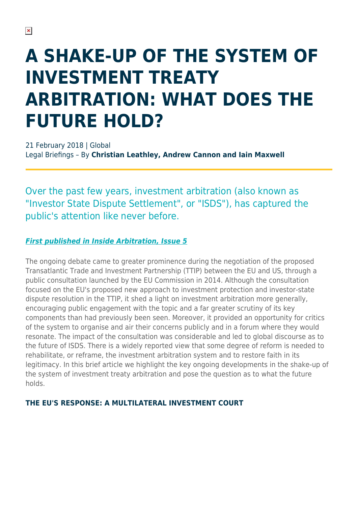# **A SHAKE-UP OF THE SYSTEM OF INVESTMENT TREATY ARBITRATION: WHAT DOES THE FUTURE HOLD?**

21 February 2018 | Global Legal Briefings – By **Christian Leathley, Andrew Cannon and Iain Maxwell**

Over the past few years, investment arbitration (also known as "Investor State Dispute Settlement", or "ISDS"), has captured the public's attention like never before.

#### *[First published in Inside Arbitration, Issue 5](https://www.herbertsmithfreehills.com/latest-thinking/inside-arbitration)*

The ongoing debate came to greater prominence during the negotiation of the proposed Transatlantic Trade and Investment Partnership (TTIP) between the EU and US, through a public consultation launched by the EU Commission in 2014. Although the consultation focused on the EU's proposed new approach to investment protection and investor-state dispute resolution in the TTIP, it shed a light on investment arbitration more generally, encouraging public engagement with the topic and a far greater scrutiny of its key components than had previously been seen. Moreover, it provided an opportunity for critics of the system to organise and air their concerns publicly and in a forum where they would resonate. The impact of the consultation was considerable and led to global discourse as to the future of ISDS. There is a widely reported view that some degree of reform is needed to rehabilitate, or reframe, the investment arbitration system and to restore faith in its legitimacy. In this brief article we highlight the key ongoing developments in the shake-up of the system of investment treaty arbitration and pose the question as to what the future holds.

#### **THE EU'S RESPONSE: A MULTILATERAL INVESTMENT COURT**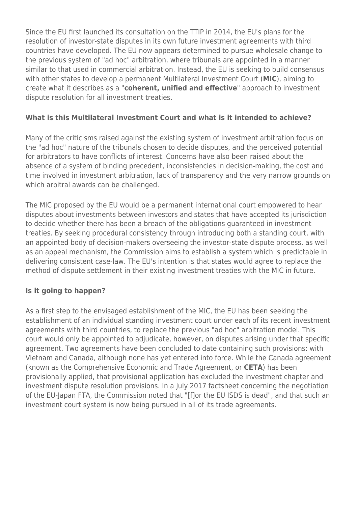Since the EU first launched its consultation on the TTIP in 2014, the EU's plans for the resolution of investor-state disputes in its own future investment agreements with third countries have developed. The EU now appears determined to pursue wholesale change to the previous system of "ad hoc" arbitration, where tribunals are appointed in a manner similar to that used in commercial arbitration. Instead, the EU is seeking to build consensus with other states to develop a permanent Multilateral Investment Court (**MIC**), aiming to create what it describes as a "**coherent, unified and effective**" approach to investment dispute resolution for all investment treaties.

# **What is this Multilateral Investment Court and what is it intended to achieve?**

Many of the criticisms raised against the existing system of investment arbitration focus on the "ad hoc" nature of the tribunals chosen to decide disputes, and the perceived potential for arbitrators to have conflicts of interest. Concerns have also been raised about the absence of a system of binding precedent, inconsistencies in decision-making, the cost and time involved in investment arbitration, lack of transparency and the very narrow grounds on which arbitral awards can be challenged.

The MIC proposed by the EU would be a permanent international court empowered to hear disputes about investments between investors and states that have accepted its jurisdiction to decide whether there has been a breach of the obligations guaranteed in investment treaties. By seeking procedural consistency through introducing both a standing court, with an appointed body of decision-makers overseeing the investor-state dispute process, as well as an appeal mechanism, the Commission aims to establish a system which is predictable in delivering consistent case-law. The EU's intention is that states would agree to replace the method of dispute settlement in their existing investment treaties with the MIC in future.

#### **Is it going to happen?**

As a first step to the envisaged establishment of the MIC, the EU has been seeking the establishment of an individual standing investment court under each of its recent investment agreements with third countries, to replace the previous "ad hoc" arbitration model. This court would only be appointed to adjudicate, however, on disputes arising under that specific agreement. Two agreements have been concluded to date containing such provisions: with Vietnam and Canada, although none has yet entered into force. While the Canada agreement (known as the Comprehensive Economic and Trade Agreement, or **CETA**) has been provisionally applied, that provisional application has excluded the investment chapter and investment dispute resolution provisions. In a July 2017 factsheet concerning the negotiation of the EU-Japan FTA, the Commission noted that "[f]or the EU ISDS is dead", and that such an investment court system is now being pursued in all of its trade agreements.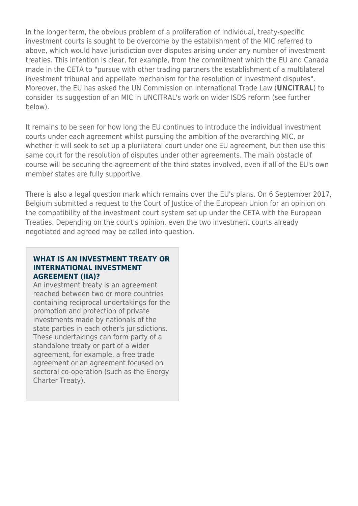In the longer term, the obvious problem of a proliferation of individual, treaty-specific investment courts is sought to be overcome by the establishment of the MIC referred to above, which would have jurisdiction over disputes arising under any number of investment treaties. This intention is clear, for example, from the commitment which the EU and Canada made in the CETA to "pursue with other trading partners the establishment of a multilateral investment tribunal and appellate mechanism for the resolution of investment disputes". Moreover, the EU has asked the UN Commission on International Trade Law (**UNCITRAL**) to consider its suggestion of an MIC in UNCITRAL's work on wider ISDS reform (see further below).

It remains to be seen for how long the EU continues to introduce the individual investment courts under each agreement whilst pursuing the ambition of the overarching MIC, or whether it will seek to set up a plurilateral court under one EU agreement, but then use this same court for the resolution of disputes under other agreements. The main obstacle of course will be securing the agreement of the third states involved, even if all of the EU's own member states are fully supportive.

There is also a legal question mark which remains over the EU's plans. On 6 September 2017, Belgium submitted a request to the Court of Justice of the European Union for an opinion on the compatibility of the investment court system set up under the CETA with the European Treaties. Depending on the court's opinion, even the two investment courts already negotiated and agreed may be called into question.

#### **WHAT IS AN INVESTMENT TREATY OR INTERNATIONAL INVESTMENT AGREEMENT (IIA)?**

An investment treaty is an agreement reached between two or more countries containing reciprocal undertakings for the promotion and protection of private investments made by nationals of the state parties in each other's jurisdictions. These undertakings can form party of a standalone treaty or part of a wider agreement, for example, a free trade agreement or an agreement focused on sectoral co-operation (such as the Energy Charter Treaty).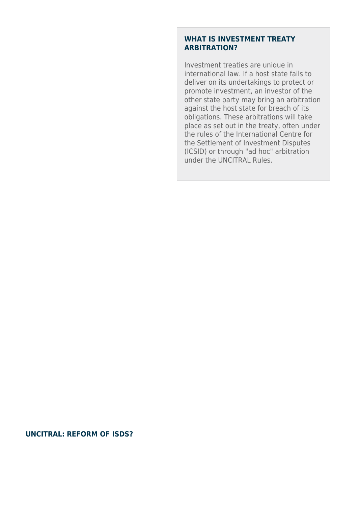#### **WHAT IS INVESTMENT TREATY ARBITRATION?**

Investment treaties are unique in international law. If a host state fails to deliver on its undertakings to protect or promote investment, an investor of the other state party may bring an arbitration against the host state for breach of its obligations. These arbitrations will take place as set out in the treaty, often under the rules of the International Centre for the Settlement of Investment Disputes (ICSID) or through "ad hoc" arbitration under the UNCITRAL Rules.

#### **UNCITRAL: REFORM OF ISDS?**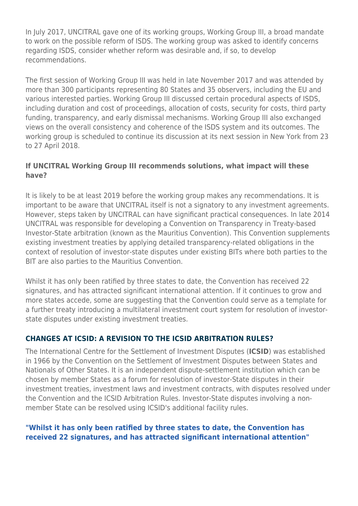In July 2017, UNCITRAL gave one of its working groups, Working Group III, a broad mandate to work on the possible reform of ISDS. The working group was asked to identify concerns regarding ISDS, consider whether reform was desirable and, if so, to develop recommendations.

The first session of Working Group III was held in late November 2017 and was attended by more than 300 participants representing 80 States and 35 observers, including the EU and various interested parties. Working Group III discussed certain procedural aspects of ISDS, including duration and cost of proceedings, allocation of costs, security for costs, third party funding, transparency, and early dismissal mechanisms. Working Group III also exchanged views on the overall consistency and coherence of the ISDS system and its outcomes. The working group is scheduled to continue its discussion at its next session in New York from 23 to 27 April 2018.

#### **If UNCITRAL Working Group III recommends solutions, what impact will these have?**

It is likely to be at least 2019 before the working group makes any recommendations. It is important to be aware that UNCITRAL itself is not a signatory to any investment agreements. However, steps taken by UNCITRAL can have significant practical consequences. In late 2014 UNCITRAL was responsible for developing a Convention on Transparency in Treaty-based Investor-State arbitration (known as the Mauritius Convention). This Convention supplements existing investment treaties by applying detailed transparency-related obligations in the context of resolution of investor-state disputes under existing BITs where both parties to the BIT are also parties to the Mauritius Convention.

Whilst it has only been ratified by three states to date, the Convention has received 22 signatures, and has attracted significant international attention. If it continues to grow and more states accede, some are suggesting that the Convention could serve as a template for a further treaty introducing a multilateral investment court system for resolution of investorstate disputes under existing investment treaties.

# **CHANGES AT ICSID: A REVISION TO THE ICSID ARBITRATION RULES?**

The International Centre for the Settlement of Investment Disputes (**ICSID**) was established in 1966 by the Convention on the Settlement of Investment Disputes between States and Nationals of Other States. It is an independent dispute-settlement institution which can be chosen by member States as a forum for resolution of investor-State disputes in their investment treaties, investment laws and investment contracts, with disputes resolved under the Convention and the ICSID Arbitration Rules. Investor-State disputes involving a nonmember State can be resolved using ICSID's additional facility rules.

#### **"Whilst it has only been ratified by three states to date, the Convention has received 22 signatures, and has attracted significant international attention"**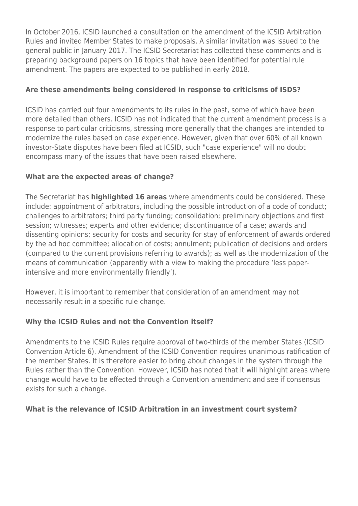In October 2016, ICSID launched a consultation on the amendment of the ICSID Arbitration Rules and invited Member States to make proposals. A similar invitation was issued to the general public in January 2017. The ICSID Secretariat has collected these comments and is preparing background papers on 16 topics that have been identified for potential rule amendment. The papers are expected to be published in early 2018.

# **Are these amendments being considered in response to criticisms of ISDS?**

ICSID has carried out four amendments to its rules in the past, some of which have been more detailed than others. ICSID has not indicated that the current amendment process is a response to particular criticisms, stressing more generally that the changes are intended to modernize the rules based on case experience. However, given that over 60% of all known investor-State disputes have been filed at ICSID, such "case experience" will no doubt encompass many of the issues that have been raised elsewhere.

#### **What are the expected areas of change?**

The Secretariat has **highlighted 16 areas** where amendments could be considered. These include: appointment of arbitrators, including the possible introduction of a code of conduct; challenges to arbitrators; third party funding; consolidation; preliminary objections and first session; witnesses; experts and other evidence; discontinuance of a case; awards and dissenting opinions; security for costs and security for stay of enforcement of awards ordered by the ad hoc committee; allocation of costs; annulment; publication of decisions and orders (compared to the current provisions referring to awards); as well as the modernization of the means of communication (apparently with a view to making the procedure 'less paperintensive and more environmentally friendly').

However, it is important to remember that consideration of an amendment may not necessarily result in a specific rule change.

# **Why the ICSID Rules and not the Convention itself?**

Amendments to the ICSID Rules require approval of two-thirds of the member States (ICSID Convention Article 6). Amendment of the ICSID Convention requires unanimous ratification of the member States. It is therefore easier to bring about changes in the system through the Rules rather than the Convention. However, ICSID has noted that it will highlight areas where change would have to be effected through a Convention amendment and see if consensus exists for such a change.

#### **What is the relevance of ICSID Arbitration in an investment court system?**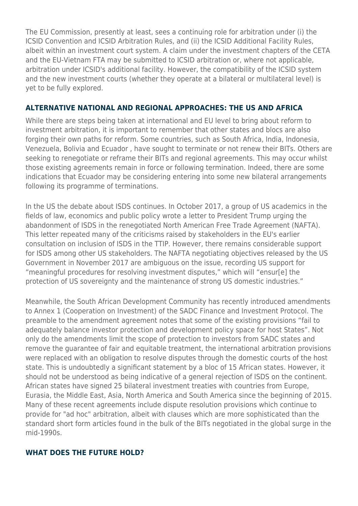The EU Commission, presently at least, sees a continuing role for arbitration under (i) the ICSID Convention and ICSID Arbitration Rules, and (ii) the ICSID Additional Facility Rules, albeit within an investment court system. A claim under the investment chapters of the CETA and the EU-Vietnam FTA may be submitted to ICSID arbitration or, where not applicable, arbitration under ICSID's additional facility. However, the compatibility of the ICSID system and the new investment courts (whether they operate at a bilateral or multilateral level) is yet to be fully explored.

#### **ALTERNATIVE NATIONAL AND REGIONAL APPROACHES: THE US AND AFRICA**

While there are steps being taken at international and EU level to bring about reform to investment arbitration, it is important to remember that other states and blocs are also forging their own paths for reform. Some countries, such as South Africa, India, Indonesia, Venezuela, Bolivia and Ecuador , have sought to terminate or not renew their BITs. Others are seeking to renegotiate or reframe their BITs and regional agreements. This may occur whilst those existing agreements remain in force or following termination. Indeed, there are some indications that Ecuador may be considering entering into some new bilateral arrangements following its programme of terminations.

In the US the debate about ISDS continues. In October 2017, a group of US academics in the fields of law, economics and public policy wrote a letter to President Trump urging the abandonment of ISDS in the renegotiated North American Free Trade Agreement (NAFTA). This letter repeated many of the criticisms raised by stakeholders in the EU's earlier consultation on inclusion of ISDS in the TTIP. However, there remains considerable support for ISDS among other US stakeholders. The NAFTA negotiating objectives released by the US Government in November 2017 are ambiguous on the issue, recording US support for "meaningful procedures for resolving investment disputes," which will "ensur[e] the protection of US sovereignty and the maintenance of strong US domestic industries."

Meanwhile, the South African Development Community has recently introduced amendments to Annex 1 (Cooperation on Investment) of the SADC Finance and Investment Protocol. The preamble to the amendment agreement notes that some of the existing provisions "fail to adequately balance investor protection and development policy space for host States". Not only do the amendments limit the scope of protection to investors from SADC states and remove the guarantee of fair and equitable treatment, the international arbitration provisions were replaced with an obligation to resolve disputes through the domestic courts of the host state. This is undoubtedly a significant statement by a bloc of 15 African states. However, it should not be understood as being indicative of a general rejection of ISDS on the continent. African states have signed 25 bilateral investment treaties with countries from Europe, Eurasia, the Middle East, Asia, North America and South America since the beginning of 2015. Many of these recent agreements include dispute resolution provisions which continue to provide for "ad hoc" arbitration, albeit with clauses which are more sophisticated than the standard short form articles found in the bulk of the BITs negotiated in the global surge in the mid-1990s.

#### **WHAT DOES THE FUTURE HOLD?**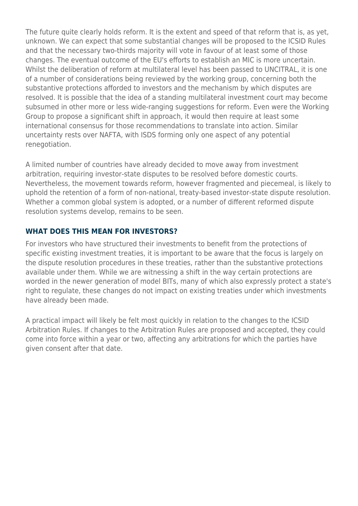The future quite clearly holds reform. It is the extent and speed of that reform that is, as yet, unknown. We can expect that some substantial changes will be proposed to the ICSID Rules and that the necessary two-thirds majority will vote in favour of at least some of those changes. The eventual outcome of the EU's efforts to establish an MIC is more uncertain. Whilst the deliberation of reform at multilateral level has been passed to UNCITRAL, it is one of a number of considerations being reviewed by the working group, concerning both the substantive protections afforded to investors and the mechanism by which disputes are resolved. It is possible that the idea of a standing multilateral investment court may become subsumed in other more or less wide-ranging suggestions for reform. Even were the Working Group to propose a significant shift in approach, it would then require at least some international consensus for those recommendations to translate into action. Similar uncertainty rests over NAFTA, with ISDS forming only one aspect of any potential renegotiation.

A limited number of countries have already decided to move away from investment arbitration, requiring investor-state disputes to be resolved before domestic courts. Nevertheless, the movement towards reform, however fragmented and piecemeal, is likely to uphold the retention of a form of non-national, treaty-based investor-state dispute resolution. Whether a common global system is adopted, or a number of different reformed dispute resolution systems develop, remains to be seen.

#### **WHAT DOES THIS MEAN FOR INVESTORS?**

For investors who have structured their investments to benefit from the protections of specific existing investment treaties, it is important to be aware that the focus is largely on the dispute resolution procedures in these treaties, rather than the substantive protections available under them. While we are witnessing a shift in the way certain protections are worded in the newer generation of model BITs, many of which also expressly protect a state's right to regulate, these changes do not impact on existing treaties under which investments have already been made.

A practical impact will likely be felt most quickly in relation to the changes to the ICSID Arbitration Rules. If changes to the Arbitration Rules are proposed and accepted, they could come into force within a year or two, affecting any arbitrations for which the parties have given consent after that date.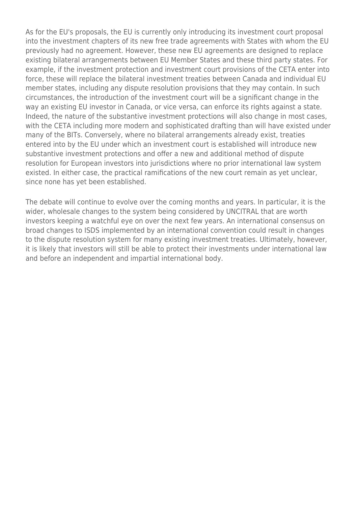As for the EU's proposals, the EU is currently only introducing its investment court proposal into the investment chapters of its new free trade agreements with States with whom the EU previously had no agreement. However, these new EU agreements are designed to replace existing bilateral arrangements between EU Member States and these third party states. For example, if the investment protection and investment court provisions of the CETA enter into force, these will replace the bilateral investment treaties between Canada and individual EU member states, including any dispute resolution provisions that they may contain. In such circumstances, the introduction of the investment court will be a significant change in the way an existing EU investor in Canada, or vice versa, can enforce its rights against a state. Indeed, the nature of the substantive investment protections will also change in most cases, with the CETA including more modern and sophisticated drafting than will have existed under many of the BITs. Conversely, where no bilateral arrangements already exist, treaties entered into by the EU under which an investment court is established will introduce new substantive investment protections and offer a new and additional method of dispute resolution for European investors into jurisdictions where no prior international law system existed. In either case, the practical ramifications of the new court remain as yet unclear, since none has yet been established.

The debate will continue to evolve over the coming months and years. In particular, it is the wider, wholesale changes to the system being considered by UNCITRAL that are worth investors keeping a watchful eye on over the next few years. An international consensus on broad changes to ISDS implemented by an international convention could result in changes to the dispute resolution system for many existing investment treaties. Ultimately, however, it is likely that investors will still be able to protect their investments under international law and before an independent and impartial international body.